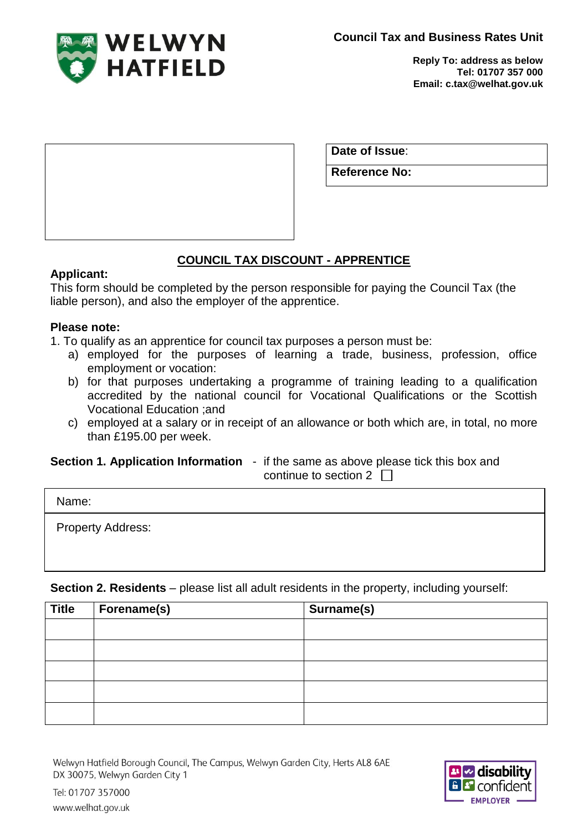**Council Tax and Business Rates Unit**



**Reply To: address as below Tel: 01707 357 000 Email: c.tax@welhat.gov.uk**

| Date of Issue:       |  |
|----------------------|--|
| <b>Reference No:</b> |  |

# **COUNCIL TAX DISCOUNT - APPRENTICE**

#### **Applicant:**

This form should be completed by the person responsible for paying the Council Tax (the liable person), and also the employer of the apprentice.

## **Please note:**

- 1. To qualify as an apprentice for council tax purposes a person must be:
	- a) employed for the purposes of learning a trade, business, profession, office employment or vocation:
	- b) for that purposes undertaking a programme of training leading to a qualification accredited by the national council for Vocational Qualifications or the Scottish Vocational Education ;and
	- c) employed at a salary or in receipt of an allowance or both which are, in total, no more than £195.00 per week.

**Section 1. Application Information** - if the same as above please tick this box and continue to section 2  $\Box$ 

| Name:                    |  |
|--------------------------|--|
| <b>Property Address:</b> |  |

**Section 2. Residents** – please list all adult residents in the property, including yourself:

| <b>Title</b> | Forename(s) | Surname(s) |
|--------------|-------------|------------|
|              |             |            |
|              |             |            |
|              |             |            |
|              |             |            |
|              |             |            |